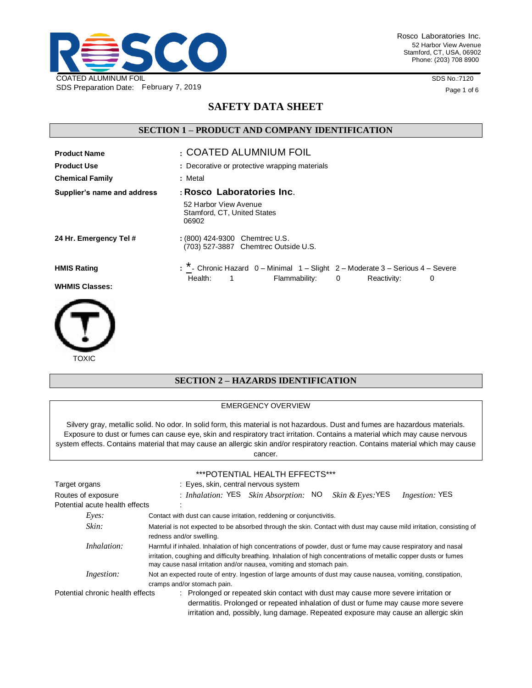

Rosco Laboratories Inc. 52 Harbor View Avenue Stamford, CT, USA, 06902 Phone: (203) 708 8900

SDS No.:7120

Page 1 of 6

# **SAFETY DATA SHEET**

## **SECTION 1 – PRODUCT AND COMPANY IDENTIFICATION**

| <b>Product Name</b>                         | : COATED ALUMNIUM FOIL                                                                                                                            |
|---------------------------------------------|---------------------------------------------------------------------------------------------------------------------------------------------------|
| <b>Product Use</b>                          | : Decorative or protective wrapping materials                                                                                                     |
| <b>Chemical Family</b>                      | : Metal                                                                                                                                           |
| Supplier's name and address                 | : Rosco Laboratories Inc.                                                                                                                         |
|                                             | 52 Harbor View Avenue<br>Stamford, CT, United States<br>06902                                                                                     |
| 24 Hr. Emergency Tel #                      | : (800) 424-9300 Chemtrec U.S.<br>(703) 527-3887 Chemtrec Outside U.S.                                                                            |
| <b>HMIS Rating</b><br><b>WHMIS Classes:</b> | : ^ - Chronic Hazard 0 - Minimal 1 - Slight 2 - Moderate 3 - Serious 4 - Severe<br>Health:<br>Flammability: 0<br>Reactivity:<br>$\mathbf{1}$<br>0 |



### **SECTION 2 – HAZARDS IDENTIFICATION**

#### EMERGENCY OVERVIEW

Silvery gray, metallic solid. No odor. In solid form, this material is not hazardous. Dust and fumes are hazardous materials. Exposure to dust or fumes can cause eye, skin and respiratory tract irritation. Contains a material which may cause nervous system effects. Contains material that may cause an allergic skin and/or respiratory reaction. Contains material which may cause cancer.

#### \*\*\*POTENTIAL HEALTH EFFECTS\*\*\*

| Target organs                    | : Eyes, skin, central nervous system                                                                                                                                                                                                                                                                        |  |
|----------------------------------|-------------------------------------------------------------------------------------------------------------------------------------------------------------------------------------------------------------------------------------------------------------------------------------------------------------|--|
| Routes of exposure               | : Inhalation: YES Skin Absorption: NO<br><i>Skin &amp; Eyes</i> : YES<br><i>Ingestion:</i> YES                                                                                                                                                                                                              |  |
| Potential acute health effects   |                                                                                                                                                                                                                                                                                                             |  |
| Eyes:                            | Contact with dust can cause irritation, reddening or conjunctivitis.                                                                                                                                                                                                                                        |  |
| Skin:                            | Material is not expected to be absorbed through the skin. Contact with dust may cause mild irritation, consisting of<br>redness and/or swelling.                                                                                                                                                            |  |
| <i>Inhalation:</i>               | Harmful if inhaled. Inhalation of high concentrations of powder, dust or fume may cause respiratory and nasal<br>irritation, coughing and difficulty breathing. Inhalation of high concentrations of metallic copper dusts or fumes<br>may cause nasal irritation and/or nausea, vomiting and stomach pain. |  |
| <i>Ingestion:</i>                | Not an expected route of entry. Ingestion of large amounts of dust may cause nausea, vomiting, constipation,<br>cramps and/or stomach pain.                                                                                                                                                                 |  |
| Potential chronic health effects | : Prolonged or repeated skin contact with dust may cause more severe irritation or<br>dormatitie. Prolonged or reported inhalation of duct or fume may cause more sovered                                                                                                                                   |  |

 dermatitis. Prolonged or repeated inhalation of dust or fume may cause more severe irritation and, possibly, lung damage. Repeated exposure may cause an allergic skin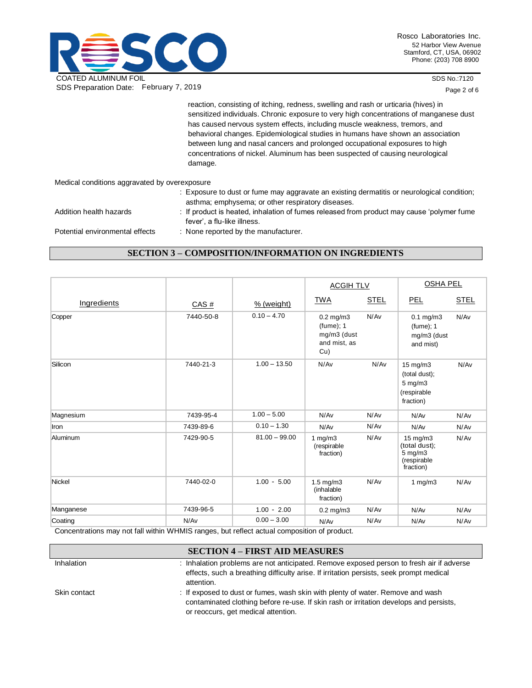

SDS No.:7120

Page 2 of 6

|                                               | reaction, consisting of itching, redness, swelling and rash or urticaria (hives) in                                                             |
|-----------------------------------------------|-------------------------------------------------------------------------------------------------------------------------------------------------|
|                                               | sensitized individuals. Chronic exposure to very high concentrations of manganese dust                                                          |
|                                               | has caused nervous system effects, including muscle weakness, tremors, and                                                                      |
|                                               | behavioral changes. Epidemiological studies in humans have shown an association                                                                 |
|                                               | between lung and nasal cancers and prolonged occupational exposures to high                                                                     |
|                                               | concentrations of nickel. Aluminum has been suspected of causing neurological<br>damage.                                                        |
|                                               |                                                                                                                                                 |
| Medical conditions aggravated by overexposure |                                                                                                                                                 |
|                                               | : Exposure to dust or fume may aggravate an existing dermatitis or neurological condition;<br>asthma; emphysema; or other respiratory diseases. |
| Addition health hazards                       | : If product is heated, inhalation of fumes released from product may cause 'polymer fume<br>fever', a flu-like illness.                        |
| Potential environmental effects               | : None reported by the manufacturer.                                                                                                            |

# **SECTION 3 – COMPOSITION/INFORMATION ON INGREDIENTS**

|             |           |                 | <b>ACGIH TLV</b>                                                     |             | <b>OSHA PEL</b>                                                                |             |
|-------------|-----------|-----------------|----------------------------------------------------------------------|-------------|--------------------------------------------------------------------------------|-------------|
| Ingredients | CAS#      | $%$ (weight)    | <b>TWA</b>                                                           | <b>STEL</b> | <b>PEL</b>                                                                     | <b>STEL</b> |
| Copper      | 7440-50-8 | $0.10 - 4.70$   | $0.2$ mg/m $3$<br>$(fume)$ ; 1<br>mg/m3 (dust<br>and mist, as<br>Cu) | N/Av        | $0.1$ mg/m $3$<br>$(fume)$ ; 1<br>mg/m3 (dust<br>and mist)                     | N/Av        |
| Silicon     | 7440-21-3 | $1.00 - 13.50$  | N/Av                                                                 | N/Av        | $15 \text{ mg/m}$ 3<br>(total dust);<br>5 mg/m3<br>(respirable<br>fraction)    | N/Av        |
| Magnesium   | 7439-95-4 | $1.00 - 5.00$   | N/Av                                                                 | N/Av        | N/Av                                                                           | N/Av        |
| Iron        | 7439-89-6 | $0.10 - 1.30$   | N/Av                                                                 | N/Av        | N/Av                                                                           | N/Av        |
| Aluminum    | 7429-90-5 | $81.00 - 99.00$ | 1 $mg/m3$<br>(respirable<br>fraction)                                | N/Av        | $15 \text{ mg/m}$<br>(total dust);<br>$5$ mg/m $3$<br>(respirable<br>fraction) | N/Av        |
| Nickel      | 7440-02-0 | $1.00 - 5.00$   | $1.5$ mg/m $3$<br>(inhalable<br>fraction)                            | N/Av        | 1 $mg/m3$                                                                      | N/Av        |
| Manganese   | 7439-96-5 | $1.00 - 2.00$   | $0.2$ mg/m $3$                                                       | N/Av        | N/Av                                                                           | N/Av        |
| Coating     | N/Av      | $0.00 - 3.00$   | N/Av                                                                 | N/Av        | N/Av                                                                           | N/Av        |

Concentrations may not fall within WHMIS ranges, but reflect actual composition of product.

## **SECTION 4 – FIRST AID MEASURES**

| <b>Inhalation</b> | : Inhalation problems are not anticipated. Remove exposed person to fresh air if adverse<br>effects, such a breathing difficulty arise. If irritation persists, seek prompt medical<br>attention.               |
|-------------------|-----------------------------------------------------------------------------------------------------------------------------------------------------------------------------------------------------------------|
| Skin contact      | : If exposed to dust or fumes, wash skin with plenty of water. Remove and wash<br>contaminated clothing before re-use. If skin rash or irritation develops and persists,<br>or reoccurs, get medical attention. |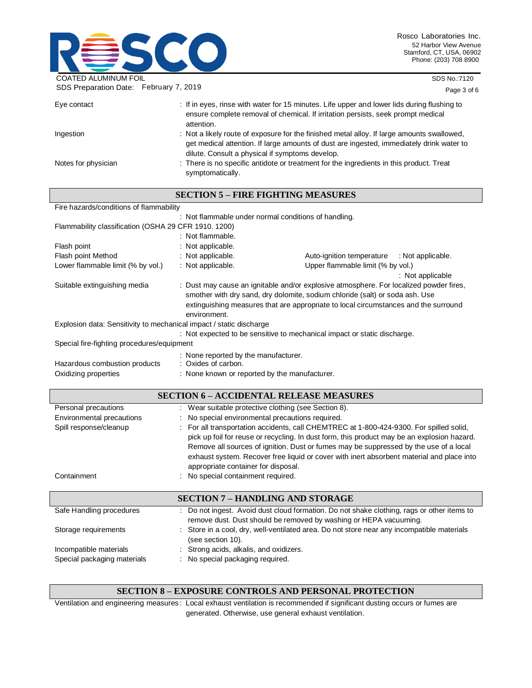

SDS No.:7120

| SDS Preparation Date: February 7, 2019 |                                                                                                                                                                                                                                           | Page 3 of 6 |
|----------------------------------------|-------------------------------------------------------------------------------------------------------------------------------------------------------------------------------------------------------------------------------------------|-------------|
| Eye contact                            | : If in eyes, rinse with water for 15 minutes. Life upper and lower lids during flushing to<br>ensure complete removal of chemical. If irritation persists, seek prompt medical<br>attention.                                             |             |
| Ingestion                              | : Not a likely route of exposure for the finished metal alloy. If large amounts swallowed,<br>get medical attention. If large amounts of dust are ingested, immediately drink water to<br>dilute. Consult a physical if symptoms develop. |             |
| Notes for physician                    | : There is no specific antidote or treatment for the ingredients in this product. Treat<br>symptomatically.                                                                                                                               |             |

**SECTION 5 – FIRE FIGHTING MEASURES**

|                                                                     |                                                                                                                                                                                                                                                                               | SECTION 3 – FINE FIGHTING MEASUNES                                                                                                                                                    |                   |
|---------------------------------------------------------------------|-------------------------------------------------------------------------------------------------------------------------------------------------------------------------------------------------------------------------------------------------------------------------------|---------------------------------------------------------------------------------------------------------------------------------------------------------------------------------------|-------------------|
| Fire hazards/conditions of flammability                             |                                                                                                                                                                                                                                                                               |                                                                                                                                                                                       |                   |
|                                                                     |                                                                                                                                                                                                                                                                               | : Not flammable under normal conditions of handling.                                                                                                                                  |                   |
| Flammability classification (OSHA 29 CFR 1910. 1200)                |                                                                                                                                                                                                                                                                               |                                                                                                                                                                                       |                   |
|                                                                     | : Not flammable.                                                                                                                                                                                                                                                              |                                                                                                                                                                                       |                   |
| Flash point                                                         | : Not applicable.                                                                                                                                                                                                                                                             |                                                                                                                                                                                       |                   |
| Flash point Method                                                  | : Not applicable.                                                                                                                                                                                                                                                             | Auto-ignition temperature                                                                                                                                                             | : Not applicable. |
| Lower flammable limit (% by vol.)                                   | : Not applicable.                                                                                                                                                                                                                                                             | Upper flammable limit (% by vol.)                                                                                                                                                     |                   |
|                                                                     |                                                                                                                                                                                                                                                                               |                                                                                                                                                                                       | : Not applicable  |
| Suitable extinguishing media                                        | : Dust may cause an ignitable and/or explosive atmosphere. For localized powder fires,<br>smother with dry sand, dry dolomite, sodium chloride (salt) or soda ash. Use<br>extinguishing measures that are appropriate to local circumstances and the surround<br>environment. |                                                                                                                                                                                       |                   |
| Explosion data: Sensitivity to mechanical impact / static discharge |                                                                                                                                                                                                                                                                               |                                                                                                                                                                                       |                   |
|                                                                     |                                                                                                                                                                                                                                                                               | : Not expected to be sensitive to mechanical impact or static discharge.                                                                                                              |                   |
| Special fire-fighting procedures/equipment                          |                                                                                                                                                                                                                                                                               |                                                                                                                                                                                       |                   |
| Hazardous combustion products<br>Oxidizing properties               | : None reported by the manufacturer.<br>: Oxides of carbon.<br>: None known or reported by the manufacturer.                                                                                                                                                                  |                                                                                                                                                                                       |                   |
| <b>SECTION 6 - ACCIDENTAL RELEASE MEASURES</b>                      |                                                                                                                                                                                                                                                                               |                                                                                                                                                                                       |                   |
| Personal precautions                                                |                                                                                                                                                                                                                                                                               | : Wear suitable protective clothing (see Section 8).                                                                                                                                  |                   |
| Environmental precautions                                           | : No special environmental precautions required.                                                                                                                                                                                                                              |                                                                                                                                                                                       |                   |
| Spill response/cleanup                                              |                                                                                                                                                                                                                                                                               | : For all transportation accidents, call CHEMTREC at 1-800-424-9300. For spilled solid,<br>pick up foil for reuse or recycling. In dust form, this product may be an explosion hazard |                   |

|             | pick up foil for reuse or recycling. In dust form, this product may be an explosion hazard. |
|-------------|---------------------------------------------------------------------------------------------|
|             | Remove all sources of ignition. Dust or fumes may be suppressed by the use of a local       |
|             | exhaust system. Recover free liquid or cover with inert absorbent material and place into   |
|             | appropriate container for disposal.                                                         |
| Containment | : No special containment required.                                                          |
|             |                                                                                             |

|                             | <b>SECTION 7 - HANDLING AND STORAGE</b>                                                                                                                         |
|-----------------------------|-----------------------------------------------------------------------------------------------------------------------------------------------------------------|
| Safe Handling procedures    | : Do not ingest. Avoid dust cloud formation. Do not shake clothing, rags or other items to<br>remove dust. Dust should be removed by washing or HEPA vacuuming. |
| Storage requirements        | : Store in a cool, dry, well-ventilated area. Do not store near any incompatible materials<br>(see section 10).                                                 |
| Incompatible materials      | : Strong acids, alkalis, and oxidizers.                                                                                                                         |
| Special packaging materials | : No special packaging required.                                                                                                                                |

### **SECTION 8 – EXPOSURE CONTROLS AND PERSONAL PROTECTION**

Ventilation and engineering measures : Local exhaust ventilation is recommended if significant dusting occurs or fumes are generated. Otherwise, use general exhaust ventilation.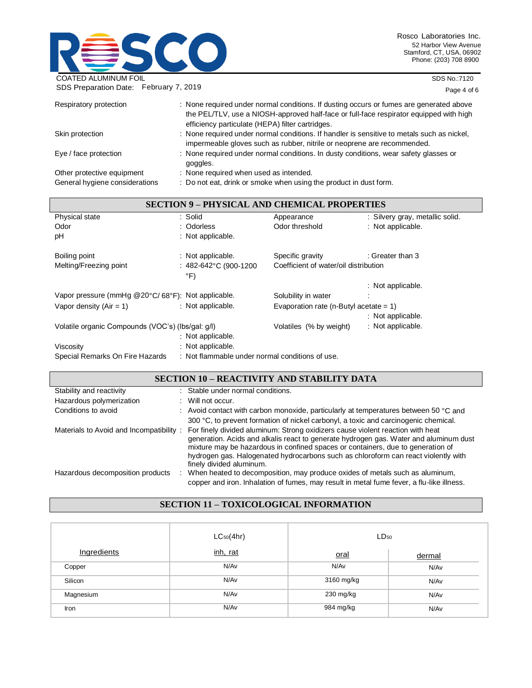

SDS No.:7120

| SDS Preparation Date: February 7, 2019                       |                                                                                                                                                                                                                                       | Page 4 of 6 |
|--------------------------------------------------------------|---------------------------------------------------------------------------------------------------------------------------------------------------------------------------------------------------------------------------------------|-------------|
| Respiratory protection                                       | : None required under normal conditions. If dusting occurs or fumes are generated above<br>the PEL/TLV, use a NIOSH-approved half-face or full-face respirator equipped with high<br>efficiency particulate (HEPA) filter cartridges. |             |
| Skin protection                                              | : None required under normal conditions. If handler is sensitive to metals such as nickel,<br>impermeable gloves such as rubber, nitrile or neoprene are recommended.                                                                 |             |
| Eye / face protection                                        | : None required under normal conditions. In dusty conditions, wear safety glasses or<br>goggles.                                                                                                                                      |             |
| Other protective equipment<br>General hygiene considerations | : None required when used as intended.<br>: Do not eat, drink or smoke when using the product in dust form.                                                                                                                           |             |

| <b>SECTION 9 - PHYSICAL AND CHEMICAL PROPERTIES</b>                                                                                                                                                                                                                                                                         |                                                                                                                 |                                           |                                 |
|-----------------------------------------------------------------------------------------------------------------------------------------------------------------------------------------------------------------------------------------------------------------------------------------------------------------------------|-----------------------------------------------------------------------------------------------------------------|-------------------------------------------|---------------------------------|
| Physical state                                                                                                                                                                                                                                                                                                              | : Solid                                                                                                         | Appearance                                | : Silvery gray, metallic solid. |
| Odor                                                                                                                                                                                                                                                                                                                        | : Odorless                                                                                                      | Odor threshold                            | : Not applicable.               |
| рH                                                                                                                                                                                                                                                                                                                          | : Not applicable.                                                                                               |                                           |                                 |
| Boiling point                                                                                                                                                                                                                                                                                                               | : Not applicable.                                                                                               | Specific gravity                          | : Greater than 3                |
| Melting/Freezing point                                                                                                                                                                                                                                                                                                      | : 482-642°C (900-1200<br>°F)                                                                                    | Coefficient of water/oil distribution     |                                 |
|                                                                                                                                                                                                                                                                                                                             |                                                                                                                 |                                           | : Not applicable.               |
| Vapor pressure (mmHg @20°C/68°F): Not applicable.                                                                                                                                                                                                                                                                           |                                                                                                                 | Solubility in water                       |                                 |
| Vapor density $(Air = 1)$                                                                                                                                                                                                                                                                                                   | : Not applicable.                                                                                               | Evaporation rate (n-Butyl acetate = $1$ ) |                                 |
|                                                                                                                                                                                                                                                                                                                             |                                                                                                                 |                                           | : Not applicable.               |
| Volatile organic Compounds (VOC's) (lbs/gal: g/l)                                                                                                                                                                                                                                                                           | : Not applicable.                                                                                               | Volatiles (% by weight)                   | : Not applicable.               |
| Viscosity                                                                                                                                                                                                                                                                                                                   | : Not applicable.                                                                                               |                                           |                                 |
| $\mathcal{L}$ . In the set of $\mathcal{L}$ , $\mathcal{L}$ , $\mathcal{L}$ , $\mathcal{L}$ , $\mathcal{L}$ , $\mathcal{L}$ , $\mathcal{L}$ , $\mathcal{L}$ , $\mathcal{L}$ , $\mathcal{L}$ , $\mathcal{L}$ , $\mathcal{L}$ , $\mathcal{L}$ , $\mathcal{L}$ , $\mathcal{L}$ , $\mathcal{L}$ , $\mathcal{L}$ , $\mathcal{L}$ | → → Nilonal Milano and Line and Line and Line and Line and Milano and Line and Line and Milano and Milano and M |                                           |                                 |

## Special Remarks On Fire Hazards : Not flammable under normal conditions of use.

## **SECTION 10 – REACTIVITY AND STABILITY DATA**

| Stability and reactivity                |   | : Stable under normal conditions.                                                                                                                                                                                                                                                                                                                                            |
|-----------------------------------------|---|------------------------------------------------------------------------------------------------------------------------------------------------------------------------------------------------------------------------------------------------------------------------------------------------------------------------------------------------------------------------------|
| Hazardous polymerization                |   | : Will not occur.                                                                                                                                                                                                                                                                                                                                                            |
| Conditions to avoid                     |   | : Avoid contact with carbon monoxide, particularly at temperatures between 50 $^{\circ}$ C and                                                                                                                                                                                                                                                                               |
|                                         |   | 300 °C, to prevent formation of nickel carbonyl, a toxic and carcinogenic chemical.                                                                                                                                                                                                                                                                                          |
| Materials to Avoid and Incompatibility: |   | For finely divided aluminum: Strong oxidizers cause violent reaction with heat<br>generation. Acids and alkalis react to generate hydrogen gas. Water and aluminum dust<br>mixture may be hazardous in confined spaces or containers, due to generation of<br>hydrogen gas. Halogenated hydrocarbons such as chloroform can react violently with<br>finely divided aluminum. |
| Hazardous decomposition products        | ÷ | When heated to decomposition, may produce oxides of metals such as aluminum,<br>copper and iron. Inhalation of fumes, may result in metal fume fever, a flu-like illness.                                                                                                                                                                                                    |

# **SECTION 11 – TOXICOLOGICAL INFORMATION**

|             | $LC_{50}(4hr)$ | $LD_{50}$   |        |  |
|-------------|----------------|-------------|--------|--|
| Ingredients | inh, rat       | <u>oral</u> | dermal |  |
| Copper      | N/Av           | N/Av        | N/Av   |  |
| Silicon     | N/Av           | 3160 mg/kg  | N/Av   |  |
| Magnesium   | N/Av           | 230 mg/kg   | N/Av   |  |
| Iron        | N/Av           | 984 mg/kg   | N/Av   |  |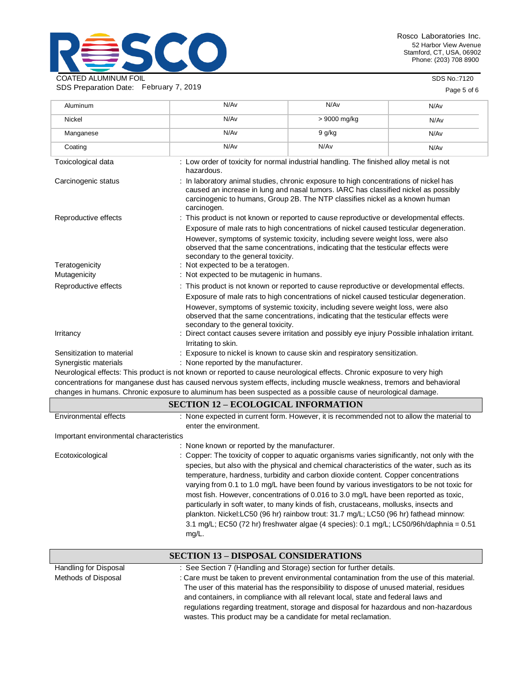

SDS No.:7120

| SDS Preparation Date: February 7, 2019 |                                                                                                                                                                                                                                                                                                                                                                                                  |                                                                                                                                                                                                                                                                 | Page 5 of 6 |  |
|----------------------------------------|--------------------------------------------------------------------------------------------------------------------------------------------------------------------------------------------------------------------------------------------------------------------------------------------------------------------------------------------------------------------------------------------------|-----------------------------------------------------------------------------------------------------------------------------------------------------------------------------------------------------------------------------------------------------------------|-------------|--|
| Aluminum                               | N/Av                                                                                                                                                                                                                                                                                                                                                                                             | N/Av                                                                                                                                                                                                                                                            | N/Av        |  |
| Nickel                                 | N/Av                                                                                                                                                                                                                                                                                                                                                                                             | > 9000 mg/kg                                                                                                                                                                                                                                                    | N/Av        |  |
| Manganese                              | N/Av                                                                                                                                                                                                                                                                                                                                                                                             | 9 g/kg                                                                                                                                                                                                                                                          | N/Av        |  |
| Coating                                | N/Av                                                                                                                                                                                                                                                                                                                                                                                             | N/Av                                                                                                                                                                                                                                                            | N/Av        |  |
| Toxicological data                     | hazardous.                                                                                                                                                                                                                                                                                                                                                                                       | : Low order of toxicity for normal industrial handling. The finished alloy metal is not                                                                                                                                                                         |             |  |
| Carcinogenic status                    | : In laboratory animal studies, chronic exposure to high concentrations of nickel has<br>caused an increase in lung and nasal tumors. IARC has classified nickel as possibly<br>carcinogenic to humans, Group 2B. The NTP classifies nickel as a known human<br>carcinogen.                                                                                                                      |                                                                                                                                                                                                                                                                 |             |  |
| Reproductive effects                   |                                                                                                                                                                                                                                                                                                                                                                                                  | : This product is not known or reported to cause reproductive or developmental effects.                                                                                                                                                                         |             |  |
|                                        | secondary to the general toxicity.                                                                                                                                                                                                                                                                                                                                                               | Exposure of male rats to high concentrations of nickel caused testicular degeneration.<br>However, symptoms of systemic toxicity, including severe weight loss, were also<br>observed that the same concentrations, indicating that the testicular effects were |             |  |
| Teratogenicity                         |                                                                                                                                                                                                                                                                                                                                                                                                  | : Not expected to be a teratogen.                                                                                                                                                                                                                               |             |  |
| Mutagenicity                           |                                                                                                                                                                                                                                                                                                                                                                                                  | : Not expected to be mutagenic in humans.                                                                                                                                                                                                                       |             |  |
| Reproductive effects                   | : This product is not known or reported to cause reproductive or developmental effects.<br>Exposure of male rats to high concentrations of nickel caused testicular degeneration.<br>However, symptoms of systemic toxicity, including severe weight loss, were also<br>observed that the same concentrations, indicating that the testicular effects were<br>secondary to the general toxicity. |                                                                                                                                                                                                                                                                 |             |  |
| Irritancy                              | Irritating to skin.                                                                                                                                                                                                                                                                                                                                                                              | Direct contact causes severe irritation and possibly eye injury Possible inhalation irritant.                                                                                                                                                                   |             |  |
| Sensitization to material              |                                                                                                                                                                                                                                                                                                                                                                                                  | : Exposure to nickel is known to cause skin and respiratory sensitization.                                                                                                                                                                                      |             |  |
| Synergistic materials                  | : None reported by the manufacturer.                                                                                                                                                                                                                                                                                                                                                             |                                                                                                                                                                                                                                                                 |             |  |
|                                        | Neurological effects: This product is not known or reported to cause neurological effects. Chronic exposure to very high<br>concentrations for manganese dust has caused nervous system effects, including muscle weakness, tremors and behavioral                                                                                                                                               |                                                                                                                                                                                                                                                                 |             |  |
|                                        | changes in humans. Chronic exposure to aluminum has been suspected as a possible cause of neurological damage.                                                                                                                                                                                                                                                                                   |                                                                                                                                                                                                                                                                 |             |  |
|                                        | <b>SECTION 12 - ECOLOGICAL INFORMATION</b>                                                                                                                                                                                                                                                                                                                                                       |                                                                                                                                                                                                                                                                 |             |  |

| Environmental effects                   | : None expected in current form. However, it is recommended not to allow the material to<br>enter the environment.                                                                                                                                                                                                                                                                                                                                                                                                                                                                                                                                                                                                                                                |
|-----------------------------------------|-------------------------------------------------------------------------------------------------------------------------------------------------------------------------------------------------------------------------------------------------------------------------------------------------------------------------------------------------------------------------------------------------------------------------------------------------------------------------------------------------------------------------------------------------------------------------------------------------------------------------------------------------------------------------------------------------------------------------------------------------------------------|
| Important environmental characteristics |                                                                                                                                                                                                                                                                                                                                                                                                                                                                                                                                                                                                                                                                                                                                                                   |
|                                         | : None known or reported by the manufacturer.                                                                                                                                                                                                                                                                                                                                                                                                                                                                                                                                                                                                                                                                                                                     |
| Ecotoxicological                        | : Copper: The toxicity of copper to aguatic organisms varies significantly, not only with the<br>species, but also with the physical and chemical characteristics of the water, such as its<br>temperature, hardness, turbidity and carbon dioxide content. Copper concentrations<br>varying from 0.1 to 1.0 mg/L have been found by various investigators to be not toxic for<br>most fish. However, concentrations of 0.016 to 3.0 mg/L have been reported as toxic,<br>particularly in soft water, to many kinds of fish, crustaceans, mollusks, insects and<br>plankton. Nickel:LC50 (96 hr) rainbow trout: 31.7 mg/L; LC50 (96 hr) fathead minnow:<br>3.1 mg/L; EC50 (72 hr) freshwater algae (4 species): $0.1$ mg/L; LC50/96h/daphnia = $0.51$<br>$mg/L$ . |

|                       | <b>SECTION 13 – DISPOSAL CONSIDERATIONS</b>                                                                                                                                                                                                                                                                                                                                                                                            |
|-----------------------|----------------------------------------------------------------------------------------------------------------------------------------------------------------------------------------------------------------------------------------------------------------------------------------------------------------------------------------------------------------------------------------------------------------------------------------|
| Handling for Disposal | : See Section 7 (Handling and Storage) section for further details.                                                                                                                                                                                                                                                                                                                                                                    |
| Methods of Disposal   | : Care must be taken to prevent environmental contamination from the use of this material.<br>The user of this material has the responsibility to dispose of unused material, residues<br>and containers, in compliance with all relevant local, state and federal laws and<br>regulations regarding treatment, storage and disposal for hazardous and non-hazardous<br>wastes. This product may be a candidate for metal reclamation. |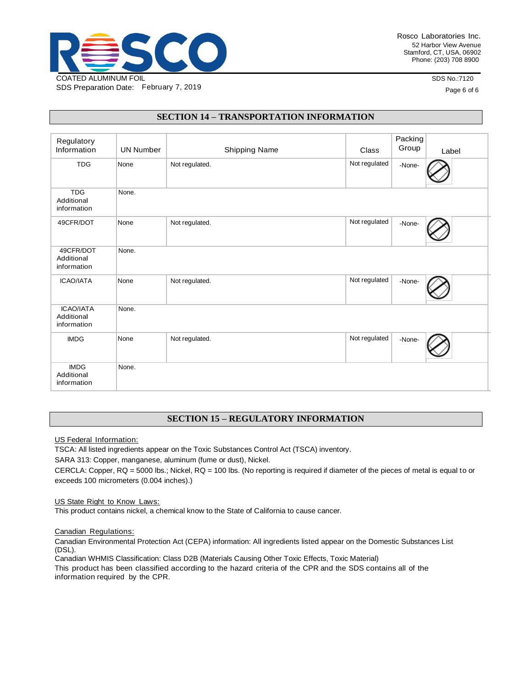

Rosco Laboratories Inc. 52 Harbor View Avenue Stamford, CT, USA, 06902 Phone: (203) 708 8900

SDS No.:7120

Page 6 of 6

### **SECTION 14 – TRANSPORTATION INFORMATION**

| Regulatory<br>Information                     | <b>UN Number</b> | Shipping Name  | Class         | Packing<br>Group | Label |
|-----------------------------------------------|------------------|----------------|---------------|------------------|-------|
| <b>TDG</b>                                    | None             | Not regulated. | Not regulated | -None-           |       |
| <b>TDG</b><br>Additional<br>information       | None.            |                |               |                  |       |
| 49CFR/DOT                                     | None             | Not regulated. | Not regulated | -None-           |       |
| 49CFR/DOT<br>Additional<br>information        | None.            |                |               |                  |       |
| <b>ICAO/IATA</b>                              | None             | Not regulated. | Not regulated | -None-           |       |
| <b>ICAO/IATA</b><br>Additional<br>information | None.            |                |               |                  |       |
| <b>IMDG</b>                                   | None             | Not regulated. | Not regulated | -None-           |       |
| <b>IMDG</b><br>Additional<br>information      | None.            |                |               |                  |       |

### **SECTION 15 – REGULATORY INFORMATION**

US Federal Information:

TSCA: All listed ingredients appear on the Toxic Substances Control Act (TSCA) inventory.

SARA 313: Copper, manganese, aluminum (fume or dust), Nickel.

CERCLA: Copper, RQ = 5000 lbs.; Nickel, RQ = 100 lbs. (No reporting is required if diameter of the pieces of metal is equal to or exceeds 100 micrometers (0.004 inches).)

#### US State Right to Know Laws:

This product contains nickel, a chemical know to the State of California to cause cancer.

#### Canadian Regulations:

Canadian Environmental Protection Act (CEPA) information: All ingredients listed appear on the Domestic Substances List (DSL).

Canadian WHMIS Classification: Class D2B (Materials Causing Other Toxic Effects, Toxic Material)

This product has been classified according to the hazard criteria of the CPR and the SDS contains all of the information required by the CPR.